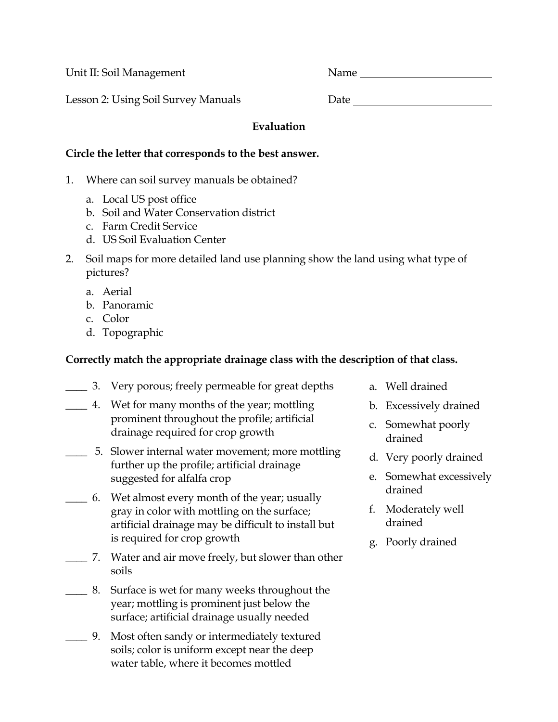Unit II: Soil Management Name

Lesson 2: Using Soil Survey Manuals Date Date

## **Evaluation**

### **Circle the letter that corresponds to the best answer.**

- 1. Where can soil survey manuals be obtained?
	- a. Local US post office
	- b. Soil and Water Conservation district
	- c. Farm Credit Service
	- d. US Soil Evaluation Center
- 2. Soil maps for more detailed land use planning show the land using what type of pictures?
	- a. Aerial
	- b. Panoramic
	- c. Color
	- d. Topographic

# **Correctly match the appropriate drainage class with the description of that class.**

- \_\_\_\_ 3. Very porous; freely permeable for great depths
- \_\_\_\_ 4. Wet for many months of the year; mottling prominent throughout the profile; artificial drainage required for crop growth
- \_\_\_\_ 5. Slower internal water movement; more mottling further up the profile; artificial drainage suggested for alfalfa crop
- \_\_\_\_ 6. Wet almost every month of the year; usually gray in color with mottling on the surface; artificial drainage may be difficult to install but is required for crop growth
- \_\_\_\_ 7. Water and air move freely, but slower than other soils
- \_\_\_\_ 8. Surface is wet for many weeks throughout the year; mottling is prominent just below the surface; artificial drainage usually needed
- \_\_\_\_ 9. Most often sandy or intermediately textured soils; color is uniform except near the deep water table, where it becomes mottled
- a. Well drained
- b. Excessively drained
- c. Somewhat poorly drained
- d. Very poorly drained
- e. Somewhat excessively drained
- f. Moderately well drained
- g. Poorly drained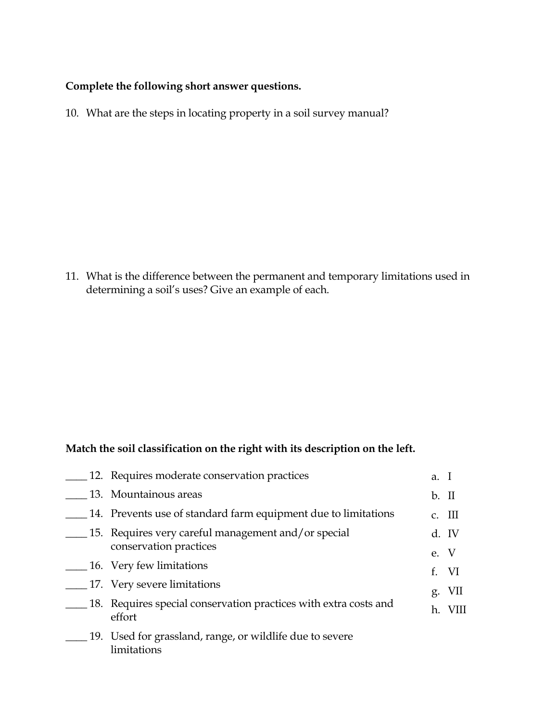### **Complete the following short answer questions.**

10. What are the steps in locating property in a soil survey manual?

11. What is the difference between the permanent and temporary limitations used in determining a soil's uses? Give an example of each.

## **Match the soil classification on the right with its description on the left.**

|  | 12. Requires moderate conservation practices                                  | a. I    |          |
|--|-------------------------------------------------------------------------------|---------|----------|
|  | 13. Mountainous areas                                                         | $b.$ II |          |
|  | 14. Prevents use of standard farm equipment due to limitations                |         | $c.$ III |
|  | 15. Requires very careful management and/or special<br>conservation practices |         | d. IV    |
|  | 16. Very few limitations                                                      | e. V    |          |
|  |                                                                               |         | f. VI    |
|  | 17. Very severe limitations                                                   |         | g. VII   |
|  | 18. Requires special conservation practices with extra costs and<br>effort    | h.      |          |
|  | 19. Used for grassland, range, or wildlife due to severe<br>limitations       |         |          |